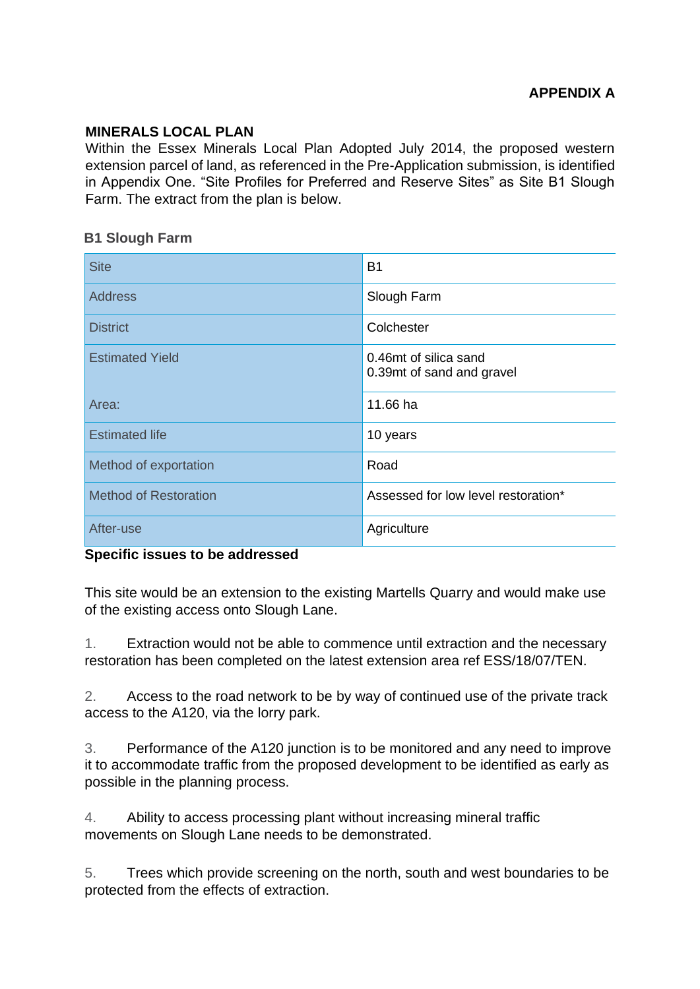## **MINERALS LOCAL PLAN**

Within the Essex Minerals Local Plan Adopted July 2014, the proposed western extension parcel of land, as referenced in the Pre-Application submission, is identified in Appendix One. "Site Profiles for Preferred and Reserve Sites" as Site B1 Slough Farm. The extract from the plan is below.

## **B1 Slough Farm**

| <b>Site</b>                  | B1                                                 |
|------------------------------|----------------------------------------------------|
| <b>Address</b>               | Slough Farm                                        |
| <b>District</b>              | Colchester                                         |
| <b>Estimated Yield</b>       | 0.46mt of silica sand<br>0.39mt of sand and gravel |
| Area:                        | 11.66 ha                                           |
| <b>Estimated life</b>        | 10 years                                           |
| Method of exportation        | Road                                               |
| <b>Method of Restoration</b> | Assessed for low level restoration*                |
| After-use                    | Agriculture                                        |

## **Specific issues to be addressed**

This site would be an extension to the existing Martells Quarry and would make use of the existing access onto Slough Lane.

1. Extraction would not be able to commence until extraction and the necessary restoration has been completed on the latest extension area ref ESS/18/07/TEN.

2. Access to the road network to be by way of continued use of the private track access to the A120, via the lorry park.

3. Performance of the A120 junction is to be monitored and any need to improve it to accommodate traffic from the proposed development to be identified as early as possible in the planning process.

4. Ability to access processing plant without increasing mineral traffic movements on Slough Lane needs to be demonstrated.

5. Trees which provide screening on the north, south and west boundaries to be protected from the effects of extraction.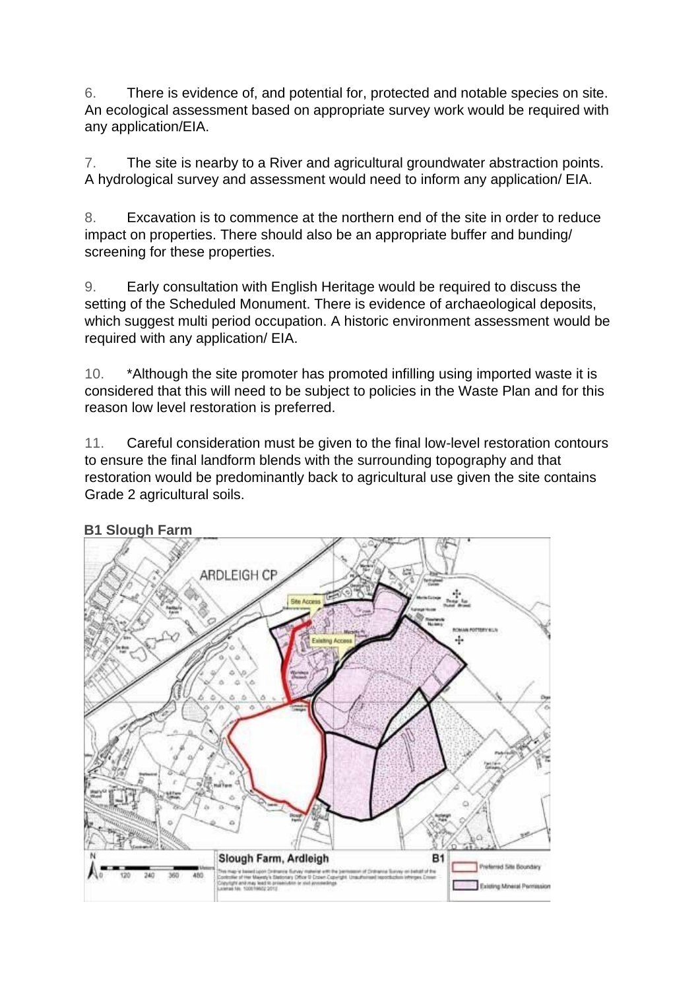6. There is evidence of, and potential for, protected and notable species on site. An ecological assessment based on appropriate survey work would be required with any application/EIA.

7. The site is nearby to a River and agricultural groundwater abstraction points. A hydrological survey and assessment would need to inform any application/ EIA.

8. Excavation is to commence at the northern end of the site in order to reduce impact on properties. There should also be an appropriate buffer and bunding/ screening for these properties.

9. Early consultation with English Heritage would be required to discuss the setting of the Scheduled Monument. There is evidence of archaeological deposits, which suggest multi period occupation. A historic environment assessment would be required with any application/ EIA.

10. \*Although the site promoter has promoted infilling using imported waste it is considered that this will need to be subject to policies in the Waste Plan and for this reason low level restoration is preferred.

11. Careful consideration must be given to the final low-level restoration contours to ensure the final landform blends with the surrounding topography and that restoration would be predominantly back to agricultural use given the site contains Grade 2 agricultural soils.



**B1 Slough Farm**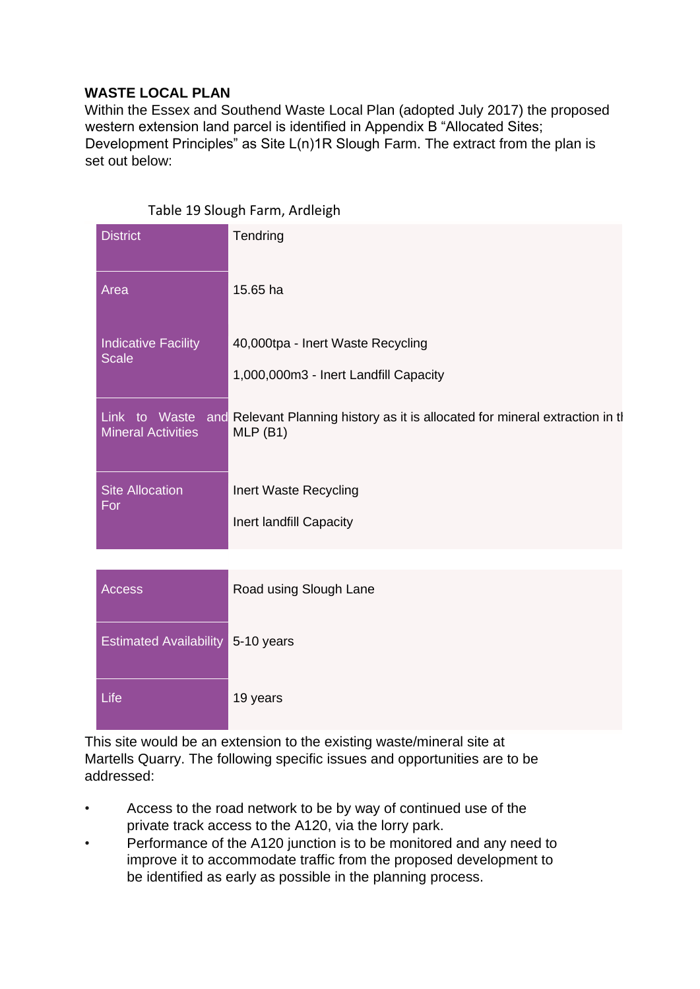## **WASTE LOCAL PLAN**

Within the Essex and Southend Waste Local Plan (adopted July 2017) the proposed western extension land parcel is identified in Appendix B "Allocated Sites; Development Principles" as Site L(n)1R Slough Farm. The extract from the plan is set out below:

| <b>District</b>                            | Tendring                                                                                               |
|--------------------------------------------|--------------------------------------------------------------------------------------------------------|
| Area                                       | 15.65 ha                                                                                               |
| <b>Indicative Facility</b><br><b>Scale</b> | 40,000tpa - Inert Waste Recycling<br>1,000,000m3 - Inert Landfill Capacity                             |
| <b>Mineral Activities</b>                  | Link to Waste and Relevant Planning history as it is allocated for mineral extraction in tl<br>MLP(B1) |
| <b>Site Allocation</b><br>For              | Inert Waste Recycling                                                                                  |
|                                            | Inert landfill Capacity                                                                                |
|                                            |                                                                                                        |
| <b>Access</b>                              | Road using Slough Lane                                                                                 |
| <b>Estimated Availability</b>              | 5-10 years                                                                                             |
| Life                                       | 19 years                                                                                               |

This site would be an extension to the existing waste/mineral site at Martells Quarry. The following specific issues and opportunities are to be addressed:

- Access to the road network to be by way of continued use of the private track access to the A120, via the lorry park.
- Performance of the A120 junction is to be monitored and any need to improve it to accommodate traffic from the proposed development to be identified as early as possible in the planning process.